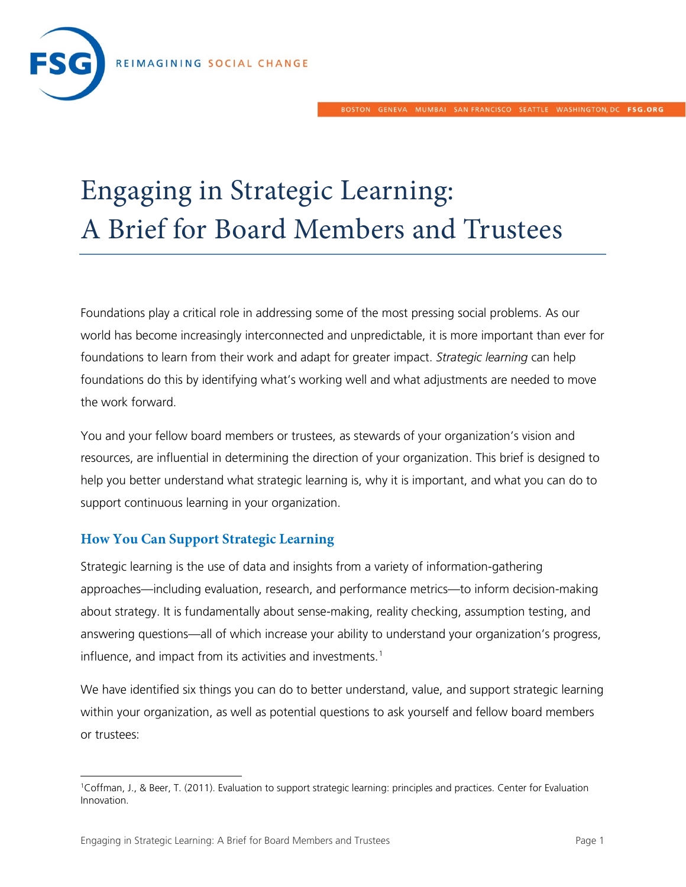

## Engaging in Strategic Learning: A Brief for Board Members and Trustees

Foundations play a critical role in addressing some of the most pressing social problems. As our world has become increasingly interconnected and unpredictable, it is more important than ever for foundations to learn from their work and adapt for greater impact. *Strategic learning* can help foundations do this by identifying what's working well and what adjustments are needed to move the work forward.

You and your fellow board members or trustees, as stewards of your organization's vision and resources, are influential in determining the direction of your organization. This brief is designed to help you better understand what strategic learning is, why it is important, and what you can do to support continuous learning in your organization.

## **How You Can Support Strategic Learning**

Strategic learning is the use of data and insights from a variety of information-gathering approaches—including evaluation, research, and performance metrics—to inform decision-making about strategy. It is fundamentally about sense-making, reality checking, assumption testing, and answering questions—all of which increase your ability to understand your organization's progress, influence, and impact from its activities and investments.<sup>[1](#page-0-0)</sup>

We have identified six things you can do to better understand, value, and support strategic learning within your organization, as well as potential questions to ask yourself and fellow board members or trustees:

<span id="page-0-0"></span> <sup>1</sup>Coffman, J., & Beer, T. (2011). Evaluation to support strategic learning: principles and practices. Center for Evaluation Innovation.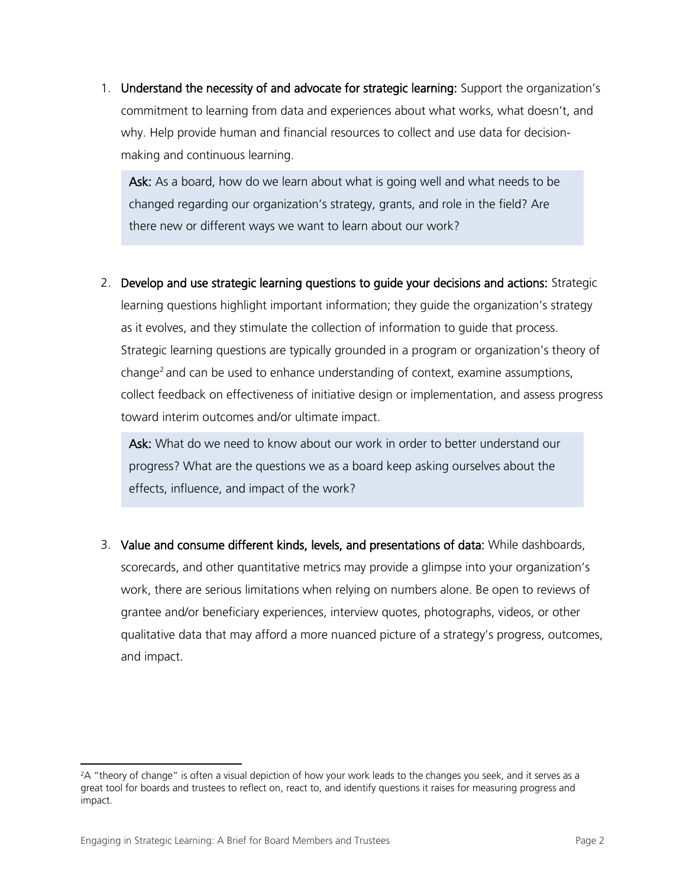1. Understand the necessity of and advocate for strategic learning: Support the organization's commitment to learning from data and experiences about what works, what doesn't, and why. Help provide human and financial resources to collect and use data for decisionmaking and continuous learning.

Ask: As a board, how do we learn about what is going well and what needs to be changed regarding our organization's strategy, grants, and role in the field? Are there new or different ways we want to learn about our work?

2. Develop and use strategic learning questions to guide your decisions and actions: Strategic learning questions highlight important information; they guide the organization's strategy as it evolves, and they stimulate the collection of information to guide that process. Strategic learning questions are typically grounded in a program or organization's theory of change<sup>[2](#page-1-0)</sup> and can be used to enhance understanding of context, examine assumptions, collect feedback on effectiveness of initiative design or implementation, and assess progress toward interim outcomes and/or ultimate impact.

Ask: What do we need to know about our work in order to better understand our progress? What are the questions we as a board keep asking ourselves about the effects, influence, and impact of the work?

3. Value and consume different kinds, levels, and presentations of data: While dashboards, scorecards, and other quantitative metrics may provide a glimpse into your organization's work, there are serious limitations when relying on numbers alone. Be open to reviews of grantee and/or beneficiary experiences, interview quotes, photographs, videos, or other qualitative data that may afford a more nuanced picture of a strategy's progress, outcomes, and impact.

<span id="page-1-0"></span><sup>&</sup>lt;sup>2</sup>A "theory of change" is often a visual depiction of how your work leads to the changes you seek, and it serves as a great tool for boards and trustees to reflect on, react to, and identify questions it raises for measuring progress and impact.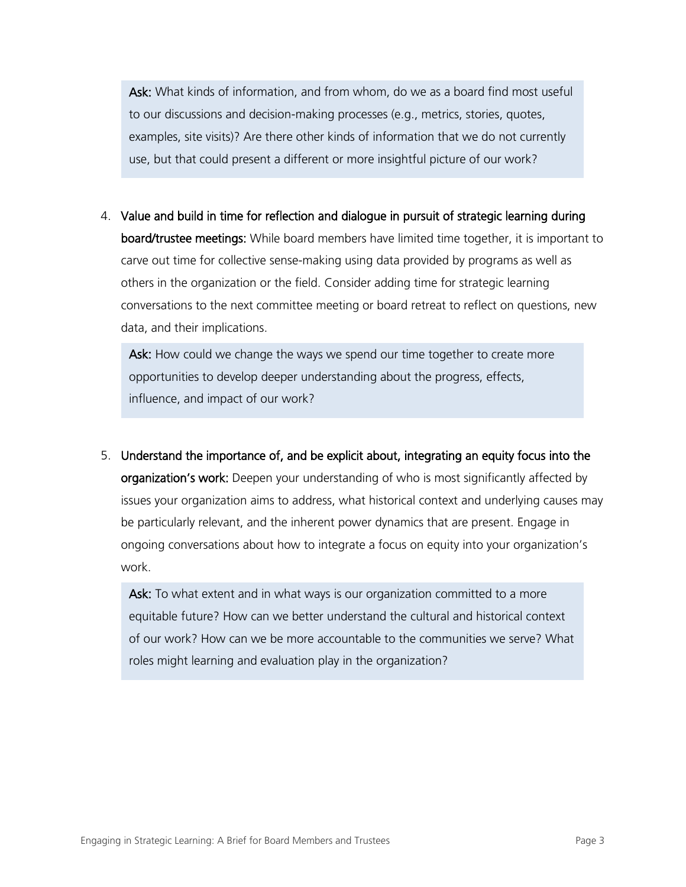Ask: What kinds of information, and from whom, do we as a board find most useful to our discussions and decision-making processes (e.g., metrics, stories, quotes, examples, site visits)? Are there other kinds of information that we do not currently use, but that could present a different or more insightful picture of our work?

4. Value and build in time for reflection and dialogue in pursuit of strategic learning during board/trustee meetings: While board members have limited time together, it is important to carve out time for collective sense-making using data provided by programs as well as others in the organization or the field. Consider adding time for strategic learning conversations to the next committee meeting or board retreat to reflect on questions, new data, and their implications.

Ask: How could we change the ways we spend our time together to create more opportunities to develop deeper understanding about the progress, effects, influence, and impact of our work?

5. Understand the importance of, and be explicit about, integrating an equity focus into the organization's work: Deepen your understanding of who is most significantly affected by issues your organization aims to address, what historical context and underlying causes may be particularly relevant, and the inherent power dynamics that are present. Engage in ongoing conversations about how to integrate a focus on equity into your organization's work.

Ask: To what extent and in what ways is our organization committed to a more equitable future? How can we better understand the cultural and historical context of our work? How can we be more accountable to the communities we serve? What roles might learning and evaluation play in the organization?